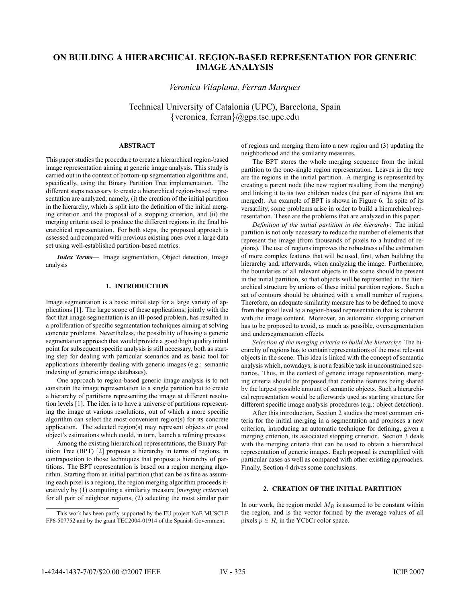# **ON BUILDING A HIERARCHICAL REGION-BASED REPRESENTATION FOR GENERIC IMAGE ANALYSIS**

*Veronica Vilaplana, Ferran Marques*

Technical University of Catalonia (UPC), Barcelona, Spain {veronica, ferran}@gps.tsc.upc.edu

# **ABSTRACT**

This paper studies the procedure to create a hierarchical region-based image representation aiming at generic image analysis. This study is carried out in the context of bottom-up segmentation algorithms and, specifically, using the Binary Partition Tree implementation. The different steps necessary to create a hierarchical region-based representation are analyzed; namely, (i) the creation of the initial partition in the hierarchy, which is split into the definition of the initial merging criterion and the proposal of a stopping criterion, and (ii) the merging criteria used to produce the different regions in the final hierarchical representation. For both steps, the proposed approach is assessed and compared with previous existing ones over a large data set using well-established partition-based metrics.

*Index Terms***—** Image segmentation, Object detection, Image analysis

## **1. INTRODUCTION**

Image segmentation is a basic initial step for a large variety of applications [1]. The large scope of these applications, jointly with the fact that image segmentation is an ill-posed problem, has resulted in a proliferation of specific segmentation techniques aiming at solving concrete problems. Nevertheless, the possibility of having a generic segmentation approach that would provide a good/high quality initial point for subsequent specific analysis is still necessary, both as starting step for dealing with particular scenarios and as basic tool for applications inherently dealing with generic images (e.g.: semantic indexing of generic image databases).

One approach to region-based generic image analysis is to not constrain the image representation to a single partition but to create a hierarchy of partitions representing the image at different resolution levels [1]. The idea is to have a universe of partitions representing the image at various resolutions, out of which a more specific algorithm can select the most convenient region(s) for its concrete application. The selected region(s) may represent objects or good object's estimations which could, in turn, launch a refining process.

Among the existing hierarchical representations, the Binary Partition Tree (BPT) [2] proposes a hierarchy in terms of regions, in contraposition to those techniques that propose a hierarchy of partitions. The BPT representation is based on a region merging algorithm. Starting from an initial partition (that can be as fine as assuming each pixel is a region), the region merging algorithm proceeds iteratively by (1) computing a similarity measure (*merging criterion*) for all pair of neighbor regions, (2) selecting the most similar pair of regions and merging them into a new region and (3) updating the neighborhood and the similarity measures.

The BPT stores the whole merging sequence from the initial partition to the one-single region representation. Leaves in the tree are the regions in the initial partition. A merging is represented by creating a parent node (the new region resulting from the merging) and linking it to its two children nodes (the pair of regions that are merged). An example of BPT is shown in Figure 6. In spite of its versatility, some problems arise in order to build a hierarchical representation. These are the problems that are analyzed in this paper:

*Definition of the initial partition in the hierarchy*: The initial partition is not only necessary to reduce the number of elements that represent the image (from thousands of pixels to a hundred of regions). The use of regions improves the robustness of the estimation of more complex features that will be used, first, when building the hierarchy and, afterwards, when analyzing the image. Furthermore, the boundaries of all relevant objects in the scene should be present in the initial partition, so that objects will be represented in the hierarchical structure by unions of these initial partition regions. Such a set of contours should be obtained with a small number of regions. Therefore, an adequate similarity measure has to be defined to move from the pixel level to a region-based representation that is coherent with the image content. Moreover, an automatic stopping criterion has to be proposed to avoid, as much as possible, oversegmentation and undersegmentation effects.

*Selection of the merging criteria to build the hierarchy*: The hierarchy of regions has to contain representations of the most relevant objects in the scene. This idea is linked with the concept of semantic analysis which, nowadays, is not a feasible task in unconstrained scenarios. Thus, in the context of generic image representation, merging criteria should be proposed that combine features being shared by the largest possible amount of semantic objects. Such a hierarchical representation would be afterwards used as starting structure for different specific image analysis procedures (e.g.: object detection).

After this introduction, Section 2 studies the most common criteria for the initial merging in a segmentation and proposes a new criterion, introducing an automatic technique for defining, given a merging criterion, its associated stopping criterion. Section 3 deals with the merging criteria that can be used to obtain a hierarchical representation of generic images. Each proposal is exemplified with particular cases as well as compared with other existing approaches. Finally, Section 4 drives some conclusions.

# **2. CREATION OF THE INITIAL PARTITION**

In our work, the region model  $M_R$  is assumed to be constant within the region, and is the vector formed by the average values of all pixels  $p \in R$ , in the YCbCr color space.

This work has been partly supported by the EU project NoE MUSCLE FP6-507752 and by the grant TEC2004-01914 of the Spanish Government.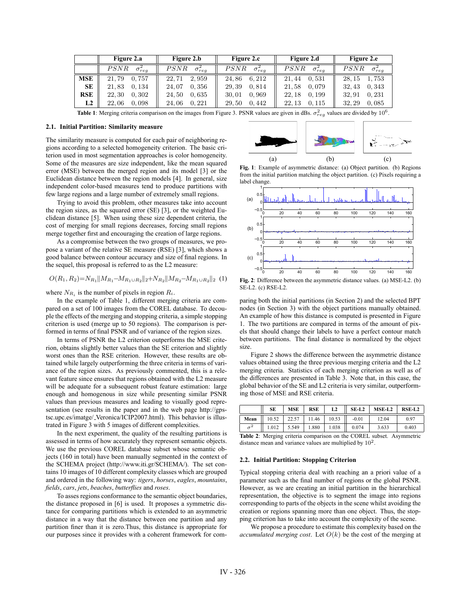|                | Figure 2.a       | Figure 2.b       | Figure 2.c       | Figure 2.d       | Figure 2.e       |
|----------------|------------------|------------------|------------------|------------------|------------------|
|                | PSNR             | PSNR             | PSNR             | PSNR             | PSNR             |
|                | $\sigma_{rea}^2$ | $\sigma_{rea}^2$ | $\sigma_{rea}^2$ | $\sigma_{rea}^2$ | $\sigma_{rea}^2$ |
| <b>MSE</b>     | 0.757            | 22.71            | 6.212            | 0.531            | 1,753            |
|                | 21.79            | 2.959            | 24.86            | 21.44            | 28.15            |
| SE             | 0.134            | 24.07            | 29.39            | 0.079            | 0.343            |
|                | 21,83            | 0.356            | 0.814            | 21,58            | 32.43            |
| RSE            | 0.302            | 0.635            | 0,969            | 0.199            | 0.231            |
|                | 22.30            | 24.50            | 30.01            | 22.18            | 32.91            |
| L <sub>2</sub> | 0.098            | 24,06            | 29,50            | 22.13            | 0.085            |
|                | 22.06            | 0.221            | 0.442            | 0.115            | 32.29            |

**Table 1**: Merging criteria comparison on the images from Figure 3. PSNR values are given in dBs.  $\sigma_{reg}^2$  values are divided by 10<sup>6</sup>.

#### **2.1. Initial Partition: Similarity measure**

The similarity measure is computed for each pair of neighboring regions according to a selected homogeneity criterion. The basic criterion used in most segmentation approaches is color homogeneity. Some of the measures are size independent, like the mean squared error (MSE) between the merged region and its model [3] or the Euclidean distance between the region models [4]. In general, size independent color-based measures tend to produce partitions with few large regions and a large number of extremely small regions.

Trying to avoid this problem, other measures take into account the region sizes, as the squared error (SE) [3], or the weighted Euclidean distance [5]. When using these size dependent criteria, the cost of merging for small regions decreases, forcing small regions merge together first and encouraging the creation of large regions.

As a compromise between the two groups of measures, we propose a variant of the relative SE measure (RSE) [3], which shows a good balance between contour accuracy and size of final regions. In the sequel, this proposal is referred to as the L2 measure:

$$
O(R_1, R_2) = N_{R_1} \|M_{R_1} - M_{R_1 \cup R_2}\|_2 + N_{R_2} \|M_{R_2} - M_{R_1 \cup R_2}\|_2 \tag{1}
$$

where  $N_{R_i}$  is the number of pixels in region  $R_i$ .

In the example of Table 1, different merging criteria are compared on a set of 100 images from the COREL database. To decouple the effects of the merging and stopping criteria, a simple stopping criterion is used (merge up to 50 regions). The comparison is performed in terms of final PSNR and of variance of the region sizes.

In terms of PSNR the L2 criterion outperforms the MSE criterion, obtains slightly better values than the SE criterion and slightly worst ones than the RSE criterion. However, these results are obtained while largely outperforming the three criteria in terms of variance of the region sizes. As previously commented, this is a relevant feature since ensures that regions obtained with the L2 measure will be adequate for a subsequent robust feature estimation: large enough and homogenous in size while presenting similar PSNR values than previous measures and leading to visually good representation (see results in the paper and in the web page http://gpstsc.upc.es/imatge/ Veronica/ICIP2007.html). This behavior is illustrated in Figure 3 with 5 images of different complexities.

In the next experiment, the quality of the resulting partitions is assessed in terms of how accurately they represent semantic objects. We use the previous COREL database subset whose semantic objects (160 in total) have been manually segmented in the context of the SCHEMA project (http://www.iti.gr/SCHEMA/). The set contains 10 images of 10 different complexity classes which are grouped and ordered in the following way: *tigers*, *horses*, *eagles*, *mountains*, *fields*, *cars*, *jets*, *beaches*, *butterflies* and *roses*.

To asses regions conformance to the semantic object boundaries, the distance proposed in [6] is used. It proposes a symmetric distance for comparing partitions which is extended to an asymmetric distance in a way that the distance between one partition and any partition finer than it is zero.Thus, this distance is appropriate for our purposes since it provides with a coherent framework for com-



**Fig. 1**: Example of asymmetric distance: (a) Object partition. (b) Regions from the initial partition matching the object partition. (c) Pixels requiring a label change.



**Fig. 2**: Difference between the asymmetric distance values. (a) MSE-L2. (b) SE-L2. (c) RSE-L2.

paring both the initial partitions (in Section 2) and the selected BPT nodes (in Section 3) with the object partitions manually obtained. An example of how this distance is computed is presented in Figure 1. The two partitions are compared in terms of the amount of pixels that should change their labels to have a perfect contour match between partitions. The final distance is normalized by the object size.

Figure 2 shows the difference between the asymmetric distance values obtained using the three previous merging criteria and the L2 merging criteria. Statistics of each merging criterion as well as of the differences are presented in Table 3. Note that, in this case, the global behavior of the SE and L2 criteria is very similar, outperforming those of MSE and RSE criteria.

|      | SE    | <b>MSE</b> | <b>RSE</b> | L2    | $SE-L2$ | MSE-L2 | RSE-L <sub>2</sub> |
|------|-------|------------|------------|-------|---------|--------|--------------------|
| Mean | 10.52 |            | 11.46      | 10.53 | $-0.01$ | 12.04  | 0.97               |
|      | 1.012 | 5.549      | 1.880      | 1.038 | 0.074   | 3.633  | 0.403              |

**Table 2**: Merging criteria comparison on the COREL subset. Asymmetric distance mean and variance values are multiplied by  $10^2$ .

## **2.2. Initial Partition: Stopping Criterion**

Typical stopping criteria deal with reaching an a priori value of a parameter such as the final number of regions or the global PSNR. However, as we are creating an initial partition in the hierarchical representation, the objective is to segment the image into regions corresponding to parts of the objects in the scene whilst avoiding the creation or regions spanning more than one object. Thus, the stopping criterion has to take into account the complexity of the scene.

We propose a procedure to estimate this complexity based on the *accumulated merging cost.* Let  $O(k)$  be the cost of the merging at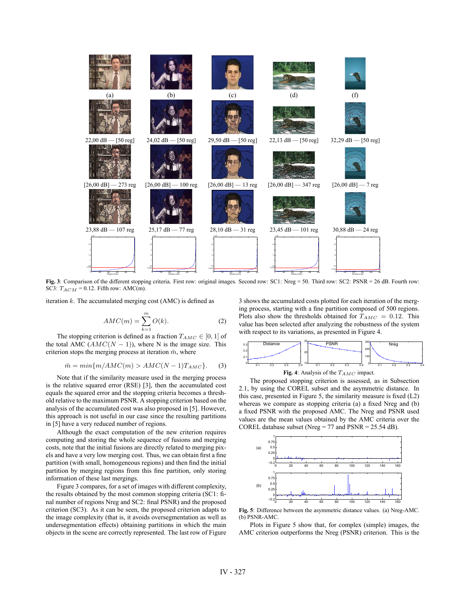

**Fig. 3**: Comparison of the different stopping criteria. First row: original images. Second row: SC1: Nreg = 50. Third row: SC2: PSNR = 26 dB. Fourth row: SC3:  $T_{ACM}$  = 0.12. Fifth row: AMC(m).

iteration  $k$ . The accumulated merging cost (AMC) is defined as

$$
AMC(m) = \sum_{k=1}^{m} O(k). \tag{2}
$$

 $k=1$ <br>The stopping criterion is defined as a fraction  $T_{AMC} \in [0, 1]$  of the total AMC  $(AMC(N - 1))$ , where N is the image size. This criterion stops the merging process at iteration  $\bar{m}$ , where

$$
\bar{m} = \min\{m/AMC(m) > AMC(N-1)T_{AMC}\}.
$$
 (3)

Note that if the similarity measure used in the merging process is the relative squared error (RSE) [3], then the accumulated cost equals the squared error and the stopping criteria becomes a threshold relative to the maximum PSNR. A stopping criterion based on the analysis of the accumulated cost was also proposed in [5]. However, this approach is not useful in our case since the resulting partitions in [5] have a very reduced number of regions.

Although the exact computation of the new criterion requires computing and storing the whole sequence of fusions and merging costs, note that the initial fusions are directly related to merging pixels and have a very low merging cost. Thus, we can obtain first a fine partition (with small, homogeneous regions) and then find the initial partition by merging regions from this fine partition, only storing information of these last mergings.

Figure 3 compares, for a set of images with different complexity, the results obtained by the most common stopping criteria (SC1: final number of regions Nreg and SC2: final PSNR) and the proposed criterion (SC3). As it can be seen, the proposed criterion adapts to the image complexity (that is, it avoids oversegmentation as well as undersegmentation effects) obtaining partitions in which the main objects in the scene are correctly represented. The last row of Figure 3 shows the accumulated costs plotted for each iteration of the merging process, starting with a fine partition composed of 500 regions. Plots also show the thresholds obtained for  $T_{AMC} = 0.12$ . This value has been selected after analyzing the robustness of the system with respect to its variations, as presented in Figure 4.



The proposed stopping criterion is assessed, as in Subsection 2.1, by using the COREL subset and the asymmetric distance. In this case, presented in Figure 5, the similarity measure is fixed (L2) whereas we compare as stopping criteria (a) a fixed Nreg and (b) a fixed PSNR with the proposed AMC. The Nreg and PSNR used values are the mean values obtained by the AMC criteria over the COREL database subset (Nreg = 77 and PSNR = 25.54 dB).



**Fig. 5**: Difference between the asymmetric distance values. (a) Nreg-AMC. (b) PSNR-AMC.

Plots in Figure 5 show that, for complex (simple) images, the AMC criterion outperforms the Nreg (PSNR) criterion. This is the